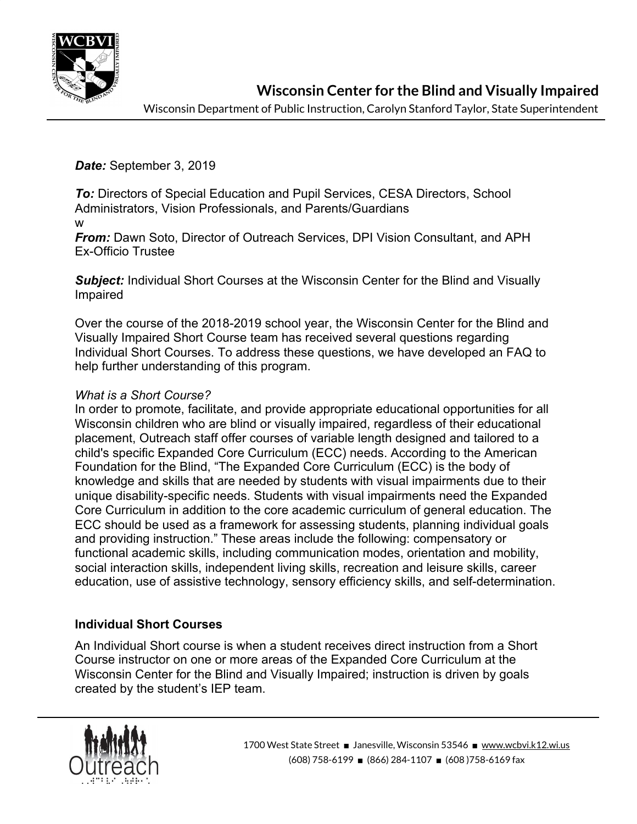

**Wisconsin Center for the Blind and Visually Impaired**

Wisconsin Department of Public Instruction, Carolyn Stanford Taylor, State Superintendent

*Date:* September 3, 2019

*To:* Directors of Special Education and Pupil Services, CESA Directors, School Administrators, Vision Professionals, and Parents/Guardians w

*From:* Dawn Soto, Director of Outreach Services, DPI Vision Consultant, and APH Ex-Officio Trustee

**Subject:** Individual Short Courses at the Wisconsin Center for the Blind and Visually Impaired

Over the course of the 2018-2019 school year, the Wisconsin Center for the Blind and Visually Impaired Short Course team has received several questions regarding Individual Short Courses. To address these questions, we have developed an FAQ to help further understanding of this program.

# *What is a Short Course?*

In order to promote, facilitate, and provide appropriate educational opportunities for all Wisconsin children who are blind or visually impaired, regardless of their educational placement, Outreach staff offer courses of variable length designed and tailored to a child's specific Expanded Core Curriculum (ECC) needs. According to the American Foundation for the Blind, "The Expanded Core Curriculum (ECC) is the body of knowledge and skills that are needed by students with visual impairments due to their unique disability-specific needs. Students with visual impairments need the Expanded Core Curriculum in addition to the core academic curriculum of general education. The ECC should be used as a framework for assessing students, planning individual goals and providing instruction." These areas include the following: compensatory or functional academic skills, including communication modes, orientation and mobility, social interaction skills, independent living skills, recreation and leisure skills, career education, use of assistive technology, sensory efficiency skills, and self-determination.

# **Individual Short Courses**

An Individual Short course is when a student receives direct instruction from a Short Course instructor on one or more areas of the Expanded Core Curriculum at the Wisconsin Center for the Blind and Visually Impaired; instruction is driven by goals created by the student's IEP team.

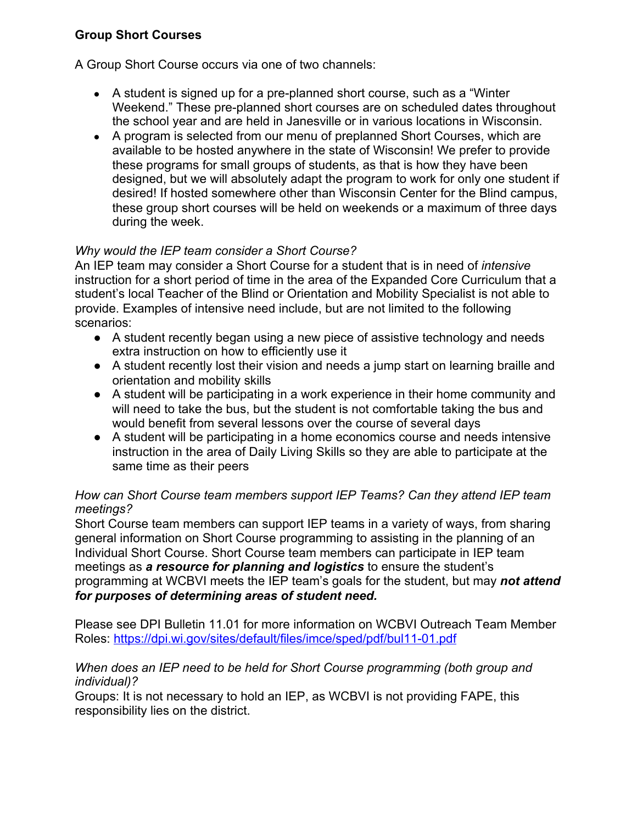# **Group Short Courses**

A Group Short Course occurs via one of two channels:

- A student is signed up for a pre-planned short course, such as a "Winter" Weekend." These pre-planned short courses are on scheduled dates throughout the school year and are held in Janesville or in various locations in Wisconsin.
- A program is selected from our menu of preplanned Short Courses, which are available to be hosted anywhere in the state of Wisconsin! We prefer to provide these programs for small groups of students, as that is how they have been designed, but we will absolutely adapt the program to work for only one student if desired! If hosted somewhere other than Wisconsin Center for the Blind campus, these group short courses will be held on weekends or a maximum of three days during the week.

# *Why would the IEP team consider a Short Course?*

An IEP team may consider a Short Course for a student that is in need of *intensive* instruction for a short period of time in the area of the Expanded Core Curriculum that a student's local Teacher of the Blind or Orientation and Mobility Specialist is not able to provide. Examples of intensive need include, but are not limited to the following scenarios:

- A student recently began using a new piece of assistive technology and needs extra instruction on how to efficiently use it
- A student recently lost their vision and needs a jump start on learning braille and orientation and mobility skills
- A student will be participating in a work experience in their home community and will need to take the bus, but the student is not comfortable taking the bus and would benefit from several lessons over the course of several days
- A student will be participating in a home economics course and needs intensive instruction in the area of Daily Living Skills so they are able to participate at the same time as their peers

### *How can Short Course team members support IEP Teams? Can they attend IEP team meetings?*

Short Course team members can support IEP teams in a variety of ways, from sharing general information on Short Course programming to assisting in the planning of an Individual Short Course. Short Course team members can participate in IEP team meetings as *a resource for planning and logistics* to ensure the student's programming at WCBVI meets the IEP team's goals for the student, but may *not attend for purposes of determining areas of student need.*

Please see DPI Bulletin 11.01 for more information on WCBVI Outreach Team Member Roles: <https://dpi.wi.gov/sites/default/files/imce/sped/pdf/bul11-01.pdf>

### *When does an IEP need to be held for Short Course programming (both group and individual)?*

Groups: It is not necessary to hold an IEP, as WCBVI is not providing FAPE, this responsibility lies on the district.